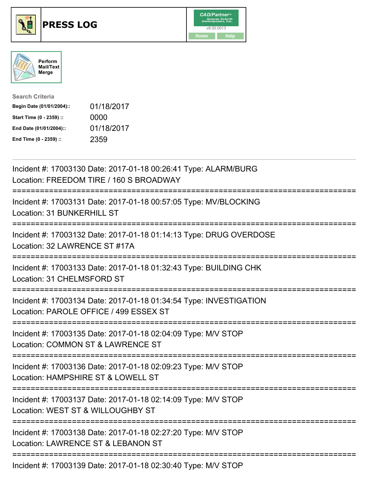





| <b>Search Criteria</b>    |            |
|---------------------------|------------|
| Begin Date (01/01/2004):: | 01/18/2017 |
| Start Time (0 - 2359) ::  | 0000       |
| End Date (01/01/2004)::   | 01/18/2017 |
| End Time (0 - 2359) ::    | 2359       |

| Incident #: 17003130 Date: 2017-01-18 00:26:41 Type: ALARM/BURG<br>Location: FREEDOM TIRE / 160 S BROADWAY                                     |
|------------------------------------------------------------------------------------------------------------------------------------------------|
| Incident #: 17003131 Date: 2017-01-18 00:57:05 Type: MV/BLOCKING<br>Location: 31 BUNKERHILL ST                                                 |
| Incident #: 17003132 Date: 2017-01-18 01:14:13 Type: DRUG OVERDOSE<br>Location: 32 LAWRENCE ST #17A<br>================                        |
| Incident #: 17003133 Date: 2017-01-18 01:32:43 Type: BUILDING CHK<br>Location: 31 CHELMSFORD ST<br>=============                               |
| Incident #: 17003134 Date: 2017-01-18 01:34:54 Type: INVESTIGATION<br>Location: PAROLE OFFICE / 499 ESSEX ST<br>------------------------------ |
| Incident #: 17003135 Date: 2017-01-18 02:04:09 Type: M/V STOP<br>Location: COMMON ST & LAWRENCE ST<br>:===========================             |
| Incident #: 17003136 Date: 2017-01-18 02:09:23 Type: M/V STOP<br>Location: HAMPSHIRE ST & LOWELL ST<br>=========================               |
| Incident #: 17003137 Date: 2017-01-18 02:14:09 Type: M/V STOP<br>Location: WEST ST & WILLOUGHBY ST                                             |
| Incident #: 17003138 Date: 2017-01-18 02:27:20 Type: M/V STOP<br>Location: LAWRENCE ST & LEBANON ST                                            |
| Incident #: 17003139 Date: 2017-01-18 02:30:40 Type: M/V STOP                                                                                  |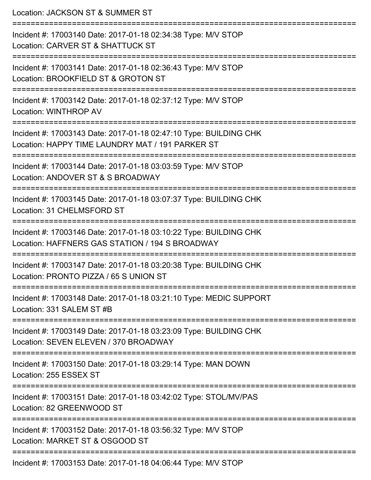Location: JACKSON ST & SUMMER ST =========================================================================== Incident #: 17003140 Date: 2017-01-18 02:34:38 Type: M/V STOP Location: CARVER ST & SHATTUCK ST =========================================================================== Incident #: 17003141 Date: 2017-01-18 02:36:43 Type: M/V STOP Location: BROOKFIELD ST & GROTON ST =========================================================================== Incident #: 17003142 Date: 2017-01-18 02:37:12 Type: M/V STOP Location: WINTHROP AV =========================================================================== Incident #: 17003143 Date: 2017-01-18 02:47:10 Type: BUILDING CHK Location: HAPPY TIME LAUNDRY MAT / 191 PARKER ST =========================================================================== Incident #: 17003144 Date: 2017-01-18 03:03:59 Type: M/V STOP Location: ANDOVER ST & S BROADWAY =========================================================================== Incident #: 17003145 Date: 2017-01-18 03:07:37 Type: BUILDING CHK Location: 31 CHELMSFORD ST =========================================================================== Incident #: 17003146 Date: 2017-01-18 03:10:22 Type: BUILDING CHK Location: HAFFNERS GAS STATION / 194 S BROADWAY =========================================================================== Incident #: 17003147 Date: 2017-01-18 03:20:38 Type: BUILDING CHK Location: PRONTO PIZZA / 65 S UNION ST =========================================================================== Incident #: 17003148 Date: 2017-01-18 03:21:10 Type: MEDIC SUPPORT Location: 331 SALEM ST #B =========================================================================== Incident #: 17003149 Date: 2017-01-18 03:23:09 Type: BUILDING CHK Location: SEVEN ELEVEN / 370 BROADWAY =========================================================================== Incident #: 17003150 Date: 2017-01-18 03:29:14 Type: MAN DOWN Location: 255 ESSEX ST =========================================================================== Incident #: 17003151 Date: 2017-01-18 03:42:02 Type: STOL/MV/PAS Location: 82 GREENWOOD ST =========================================================================== Incident #: 17003152 Date: 2017-01-18 03:56:32 Type: M/V STOP Location: MARKET ST & OSGOOD ST =========================================================================== Incident #: 17003153 Date: 2017-01-18 04:06:44 Type: M/V STOP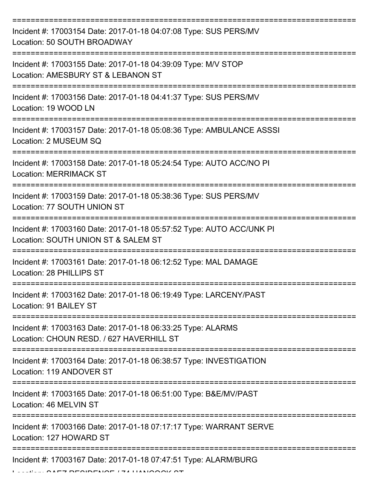| Incident #: 17003154 Date: 2017-01-18 04:07:08 Type: SUS PERS/MV<br>Location: 50 SOUTH BROADWAY             |
|-------------------------------------------------------------------------------------------------------------|
| Incident #: 17003155 Date: 2017-01-18 04:39:09 Type: M/V STOP<br>Location: AMESBURY ST & LEBANON ST         |
| Incident #: 17003156 Date: 2017-01-18 04:41:37 Type: SUS PERS/MV<br>Location: 19 WOOD LN                    |
| Incident #: 17003157 Date: 2017-01-18 05:08:36 Type: AMBULANCE ASSSI<br>Location: 2 MUSEUM SQ               |
| Incident #: 17003158 Date: 2017-01-18 05:24:54 Type: AUTO ACC/NO PI<br><b>Location: MERRIMACK ST</b>        |
| Incident #: 17003159 Date: 2017-01-18 05:38:36 Type: SUS PERS/MV<br>Location: 77 SOUTH UNION ST             |
| Incident #: 17003160 Date: 2017-01-18 05:57:52 Type: AUTO ACC/UNK PI<br>Location: SOUTH UNION ST & SALEM ST |
| Incident #: 17003161 Date: 2017-01-18 06:12:52 Type: MAL DAMAGE<br>Location: 28 PHILLIPS ST                 |
| Incident #: 17003162 Date: 2017-01-18 06:19:49 Type: LARCENY/PAST<br>Location: 91 BAILEY ST                 |
| Incident #: 17003163 Date: 2017-01-18 06:33:25 Type: ALARMS<br>Location: CHOUN RESD. / 627 HAVERHILL ST     |
| Incident #: 17003164 Date: 2017-01-18 06:38:57 Type: INVESTIGATION<br>Location: 119 ANDOVER ST              |
| Incident #: 17003165 Date: 2017-01-18 06:51:00 Type: B&E/MV/PAST<br>Location: 46 MELVIN ST                  |
| Incident #: 17003166 Date: 2017-01-18 07:17:17 Type: WARRANT SERVE<br>Location: 127 HOWARD ST               |
| Incident #: 17003167 Date: 2017-01-18 07:47:51 Type: ALARM/BURG                                             |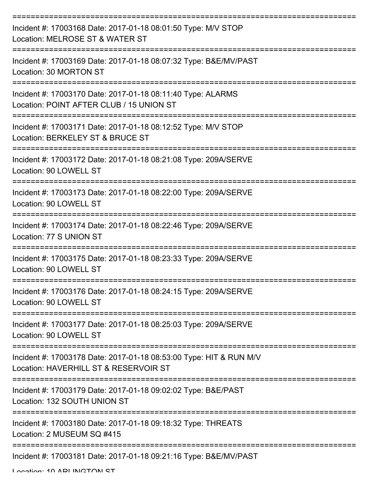| Incident #: 17003168 Date: 2017-01-18 08:01:50 Type: M/V STOP<br>Location: MELROSE ST & WATER ST            |
|-------------------------------------------------------------------------------------------------------------|
| Incident #: 17003169 Date: 2017-01-18 08:07:32 Type: B&E/MV/PAST<br>Location: 30 MORTON ST                  |
| Incident #: 17003170 Date: 2017-01-18 08:11:40 Type: ALARMS<br>Location: POINT AFTER CLUB / 15 UNION ST     |
| Incident #: 17003171 Date: 2017-01-18 08:12:52 Type: M/V STOP<br>Location: BERKELEY ST & BRUCE ST           |
| Incident #: 17003172 Date: 2017-01-18 08:21:08 Type: 209A/SERVE<br>Location: 90 LOWELL ST                   |
| Incident #: 17003173 Date: 2017-01-18 08:22:00 Type: 209A/SERVE<br>Location: 90 LOWELL ST                   |
| Incident #: 17003174 Date: 2017-01-18 08:22:46 Type: 209A/SERVE<br>Location: 77 S UNION ST                  |
| Incident #: 17003175 Date: 2017-01-18 08:23:33 Type: 209A/SERVE<br>Location: 90 LOWELL ST                   |
| Incident #: 17003176 Date: 2017-01-18 08:24:15 Type: 209A/SERVE<br>Location: 90 LOWELL ST                   |
| Incident #: 17003177 Date: 2017-01-18 08:25:03 Type: 209A/SERVE<br>Location: 90 LOWELL ST                   |
| Incident #: 17003178 Date: 2017-01-18 08:53:00 Type: HIT & RUN M/V<br>Location: HAVERHILL ST & RESERVOIR ST |
| Incident #: 17003179 Date: 2017-01-18 09:02:02 Type: B&E/PAST<br>Location: 132 SOUTH UNION ST               |
| Incident #: 17003180 Date: 2017-01-18 09:18:32 Type: THREATS<br>Location: 2 MUSEUM SQ #415                  |
| Incident #: 17003181 Date: 2017-01-18 09:21:16 Type: B&E/MV/PAST                                            |

Location: 10 ADI INCTON ST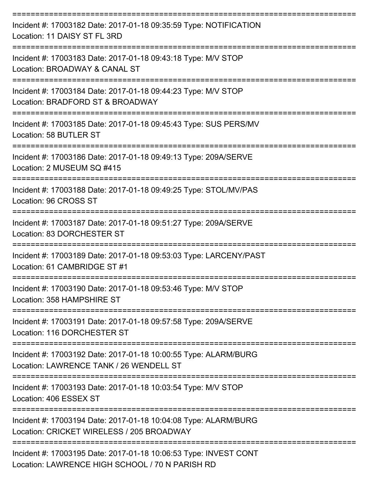| Incident #: 17003182 Date: 2017-01-18 09:35:59 Type: NOTIFICATION<br>Location: 11 DAISY ST FL 3RD              |
|----------------------------------------------------------------------------------------------------------------|
| Incident #: 17003183 Date: 2017-01-18 09:43:18 Type: M/V STOP<br>Location: BROADWAY & CANAL ST                 |
| Incident #: 17003184 Date: 2017-01-18 09:44:23 Type: M/V STOP<br>Location: BRADFORD ST & BROADWAY              |
| Incident #: 17003185 Date: 2017-01-18 09:45:43 Type: SUS PERS/MV<br>Location: 58 BUTLER ST                     |
| Incident #: 17003186 Date: 2017-01-18 09:49:13 Type: 209A/SERVE<br>Location: 2 MUSEUM SQ #415                  |
| Incident #: 17003188 Date: 2017-01-18 09:49:25 Type: STOL/MV/PAS<br>Location: 96 CROSS ST<br>================= |
| Incident #: 17003187 Date: 2017-01-18 09:51:27 Type: 209A/SERVE<br>Location: 83 DORCHESTER ST                  |
| Incident #: 17003189 Date: 2017-01-18 09:53:03 Type: LARCENY/PAST<br>Location: 61 CAMBRIDGE ST #1              |
| Incident #: 17003190 Date: 2017-01-18 09:53:46 Type: M/V STOP<br>Location: 358 HAMPSHIRE ST                    |
| Incident #: 17003191 Date: 2017-01-18 09:57:58 Type: 209A/SERVE<br>Location: 116 DORCHESTER ST                 |
| Incident #: 17003192 Date: 2017-01-18 10:00:55 Type: ALARM/BURG<br>Location: LAWRENCE TANK / 26 WENDELL ST     |
| Incident #: 17003193 Date: 2017-01-18 10:03:54 Type: M/V STOP<br>Location: 406 ESSEX ST                        |
| Incident #: 17003194 Date: 2017-01-18 10:04:08 Type: ALARM/BURG<br>Location: CRICKET WIRELESS / 205 BROADWAY   |
| Incident #: 17003195 Date: 2017-01-18 10:06:53 Type: INVEST CONT                                               |

Location: LAWRENCE HIGH SCHOOL / 70 N PARISH RD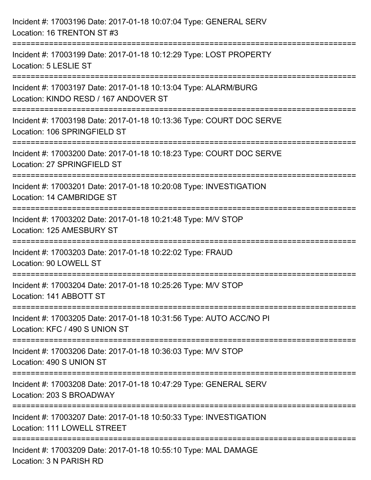| Incident #: 17003196 Date: 2017-01-18 10:07:04 Type: GENERAL SERV<br>Location: 16 TRENTON ST #3                                                 |
|-------------------------------------------------------------------------------------------------------------------------------------------------|
| Incident #: 17003199 Date: 2017-01-18 10:12:29 Type: LOST PROPERTY<br>Location: 5 LESLIE ST                                                     |
| ===================================<br>Incident #: 17003197 Date: 2017-01-18 10:13:04 Type: ALARM/BURG<br>Location: KINDO RESD / 167 ANDOVER ST |
| Incident #: 17003198 Date: 2017-01-18 10:13:36 Type: COURT DOC SERVE<br>Location: 106 SPRINGFIELD ST                                            |
| Incident #: 17003200 Date: 2017-01-18 10:18:23 Type: COURT DOC SERVE<br>Location: 27 SPRINGFIELD ST                                             |
| Incident #: 17003201 Date: 2017-01-18 10:20:08 Type: INVESTIGATION<br>Location: 14 CAMBRIDGE ST                                                 |
| Incident #: 17003202 Date: 2017-01-18 10:21:48 Type: M/V STOP<br>Location: 125 AMESBURY ST                                                      |
| Incident #: 17003203 Date: 2017-01-18 10:22:02 Type: FRAUD<br>Location: 90 LOWELL ST                                                            |
| Incident #: 17003204 Date: 2017-01-18 10:25:26 Type: M/V STOP<br>Location: 141 ABBOTT ST                                                        |
| Incident #: 17003205 Date: 2017-01-18 10:31:56 Type: AUTO ACC/NO PI<br>Location: KFC / 490 S UNION ST                                           |
| Incident #: 17003206 Date: 2017-01-18 10:36:03 Type: M/V STOP<br>Location: 490 S UNION ST                                                       |
| Incident #: 17003208 Date: 2017-01-18 10:47:29 Type: GENERAL SERV<br>Location: 203 S BROADWAY                                                   |
| Incident #: 17003207 Date: 2017-01-18 10:50:33 Type: INVESTIGATION<br>Location: 111 LOWELL STREET                                               |
| Incident #: 17003209 Date: 2017-01-18 10:55:10 Type: MAL DAMAGE<br>Location: 3 N PARISH RD                                                      |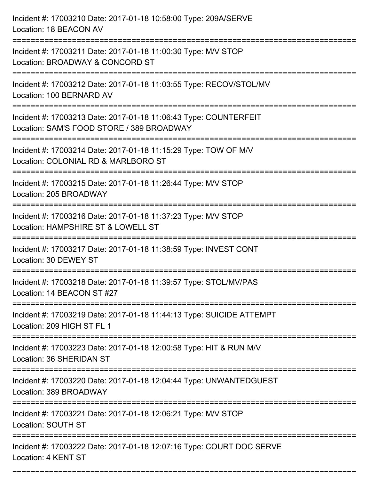Incident #: 17003210 Date: 2017-01-18 10:58:00 Type: 209A/SERVE Location: 18 BEACON AV =========================================================================== Incident #: 17003211 Date: 2017-01-18 11:00:30 Type: M/V STOP Location: BROADWAY & CONCORD ST =========================================================================== Incident #: 17003212 Date: 2017-01-18 11:03:55 Type: RECOV/STOL/MV Location: 100 BERNARD AV =========================================================================== Incident #: 17003213 Date: 2017-01-18 11:06:43 Type: COUNTERFEIT Location: SAM'S FOOD STORE / 389 BROADWAY =========================================================================== Incident #: 17003214 Date: 2017-01-18 11:15:29 Type: TOW OF M/V Location: COLONIAL RD & MARLBORO ST =========================================================================== Incident #: 17003215 Date: 2017-01-18 11:26:44 Type: M/V STOP Location: 205 BROADWAY =========================================================================== Incident #: 17003216 Date: 2017-01-18 11:37:23 Type: M/V STOP Location: HAMPSHIRE ST & LOWELL ST =========================================================================== Incident #: 17003217 Date: 2017-01-18 11:38:59 Type: INVEST CONT Location: 30 DEWEY ST =========================================================================== Incident #: 17003218 Date: 2017-01-18 11:39:57 Type: STOL/MV/PAS Location: 14 BEACON ST #27 =========================================================================== Incident #: 17003219 Date: 2017-01-18 11:44:13 Type: SUICIDE ATTEMPT Location: 209 HIGH ST FL 1 =========================================================================== Incident #: 17003223 Date: 2017-01-18 12:00:58 Type: HIT & RUN M/V Location: 36 SHERIDAN ST =========================================================================== Incident #: 17003220 Date: 2017-01-18 12:04:44 Type: UNWANTEDGUEST Location: 389 BROADWAY =========================================================================== Incident #: 17003221 Date: 2017-01-18 12:06:21 Type: M/V STOP Location: SOUTH ST =========================================================================== Incident #: 17003222 Date: 2017-01-18 12:07:16 Type: COURT DOC SERVE Location: 4 KENT ST

===========================================================================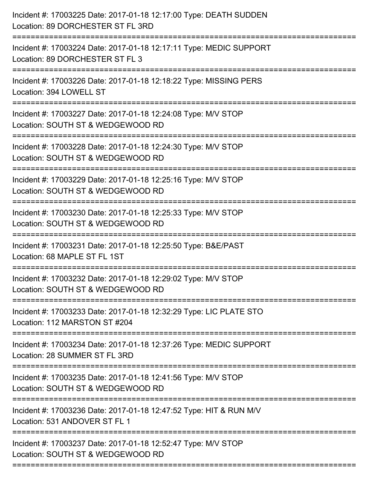| Incident #: 17003225 Date: 2017-01-18 12:17:00 Type: DEATH SUDDEN<br>Location: 89 DORCHESTER ST FL 3RD |
|--------------------------------------------------------------------------------------------------------|
| Incident #: 17003224 Date: 2017-01-18 12:17:11 Type: MEDIC SUPPORT<br>Location: 89 DORCHESTER ST FL 3  |
| Incident #: 17003226 Date: 2017-01-18 12:18:22 Type: MISSING PERS<br>Location: 394 LOWELL ST           |
| Incident #: 17003227 Date: 2017-01-18 12:24:08 Type: M/V STOP<br>Location: SOUTH ST & WEDGEWOOD RD     |
| Incident #: 17003228 Date: 2017-01-18 12:24:30 Type: M/V STOP<br>Location: SOUTH ST & WEDGEWOOD RD     |
| Incident #: 17003229 Date: 2017-01-18 12:25:16 Type: M/V STOP<br>Location: SOUTH ST & WEDGEWOOD RD     |
| Incident #: 17003230 Date: 2017-01-18 12:25:33 Type: M/V STOP<br>Location: SOUTH ST & WEDGEWOOD RD     |
| Incident #: 17003231 Date: 2017-01-18 12:25:50 Type: B&E/PAST<br>Location: 68 MAPLE ST FL 1ST          |
| Incident #: 17003232 Date: 2017-01-18 12:29:02 Type: M/V STOP<br>Location: SOUTH ST & WEDGEWOOD RD     |
| Incident #: 17003233 Date: 2017-01-18 12:32:29 Type: LIC PLATE STO<br>Location: 112 MARSTON ST #204    |
| Incident #: 17003234 Date: 2017-01-18 12:37:26 Type: MEDIC SUPPORT<br>Location: 28 SUMMER ST FL 3RD    |
| Incident #: 17003235 Date: 2017-01-18 12:41:56 Type: M/V STOP<br>Location: SOUTH ST & WEDGEWOOD RD     |
| Incident #: 17003236 Date: 2017-01-18 12:47:52 Type: HIT & RUN M/V<br>Location: 531 ANDOVER ST FL 1    |
| Incident #: 17003237 Date: 2017-01-18 12:52:47 Type: M/V STOP<br>Location: SOUTH ST & WEDGEWOOD RD     |
|                                                                                                        |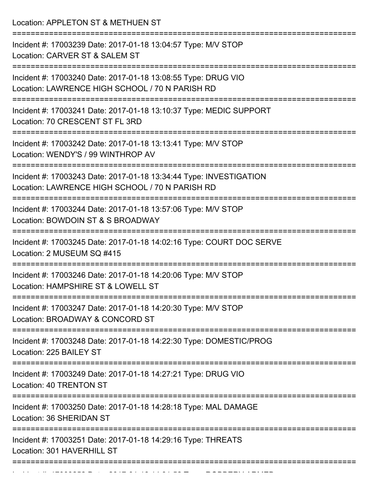Location: APPLETON ST & METHUEN ST

| Incident #: 17003239 Date: 2017-01-18 13:04:57 Type: M/V STOP<br>Location: CARVER ST & SALEM ST                       |
|-----------------------------------------------------------------------------------------------------------------------|
| Incident #: 17003240 Date: 2017-01-18 13:08:55 Type: DRUG VIO<br>Location: LAWRENCE HIGH SCHOOL / 70 N PARISH RD      |
| Incident #: 17003241 Date: 2017-01-18 13:10:37 Type: MEDIC SUPPORT<br>Location: 70 CRESCENT ST FL 3RD                 |
| Incident #: 17003242 Date: 2017-01-18 13:13:41 Type: M/V STOP<br>Location: WENDY'S / 99 WINTHROP AV                   |
| Incident #: 17003243 Date: 2017-01-18 13:34:44 Type: INVESTIGATION<br>Location: LAWRENCE HIGH SCHOOL / 70 N PARISH RD |
| Incident #: 17003244 Date: 2017-01-18 13:57:06 Type: M/V STOP<br>Location: BOWDOIN ST & S BROADWAY                    |
| Incident #: 17003245 Date: 2017-01-18 14:02:16 Type: COURT DOC SERVE<br>Location: 2 MUSEUM SQ #415                    |
| Incident #: 17003246 Date: 2017-01-18 14:20:06 Type: M/V STOP<br>Location: HAMPSHIRE ST & LOWELL ST                   |
| Incident #: 17003247 Date: 2017-01-18 14:20:30 Type: M/V STOP<br>Location: BROADWAY & CONCORD ST                      |
| Incident #: 17003248 Date: 2017-01-18 14:22:30 Type: DOMESTIC/PROG<br>Location: 225 BAILEY ST                         |
| Incident #: 17003249 Date: 2017-01-18 14:27:21 Type: DRUG VIO<br>Location: 40 TRENTON ST                              |
| Incident #: 17003250 Date: 2017-01-18 14:28:18 Type: MAL DAMAGE<br>Location: 36 SHERIDAN ST                           |
| Incident #: 17003251 Date: 2017-01-18 14:29:16 Type: THREATS<br>Location: 301 HAVERHILL ST                            |
|                                                                                                                       |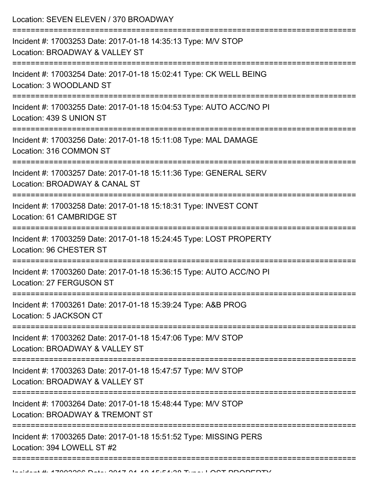Location: SEVEN ELEVEN / 370 BROADWAY

| Incident #: 17003253 Date: 2017-01-18 14:35:13 Type: M/V STOP<br>Location: BROADWAY & VALLEY ST    |
|----------------------------------------------------------------------------------------------------|
| Incident #: 17003254 Date: 2017-01-18 15:02:41 Type: CK WELL BEING<br>Location: 3 WOODLAND ST      |
| Incident #: 17003255 Date: 2017-01-18 15:04:53 Type: AUTO ACC/NO PI<br>Location: 439 S UNION ST    |
| Incident #: 17003256 Date: 2017-01-18 15:11:08 Type: MAL DAMAGE<br>Location: 316 COMMON ST         |
| Incident #: 17003257 Date: 2017-01-18 15:11:36 Type: GENERAL SERV<br>Location: BROADWAY & CANAL ST |
| Incident #: 17003258 Date: 2017-01-18 15:18:31 Type: INVEST CONT<br>Location: 61 CAMBRIDGE ST      |
| Incident #: 17003259 Date: 2017-01-18 15:24:45 Type: LOST PROPERTY<br>Location: 96 CHESTER ST      |
| Incident #: 17003260 Date: 2017-01-18 15:36:15 Type: AUTO ACC/NO PI<br>Location: 27 FERGUSON ST    |
| Incident #: 17003261 Date: 2017-01-18 15:39:24 Type: A&B PROG<br>Location: 5 JACKSON CT            |
| Incident #: 17003262 Date: 2017-01-18 15:47:06 Type: M/V STOP<br>Location: BROADWAY & VALLEY ST    |
| Incident #: 17003263 Date: 2017-01-18 15:47:57 Type: M/V STOP<br>Location: BROADWAY & VALLEY ST    |
| Incident #: 17003264 Date: 2017-01-18 15:48:44 Type: M/V STOP<br>Location: BROADWAY & TREMONT ST   |
| Incident #: 17003265 Date: 2017-01-18 15:51:52 Type: MISSING PERS<br>Location: 394 LOWELL ST #2    |
|                                                                                                    |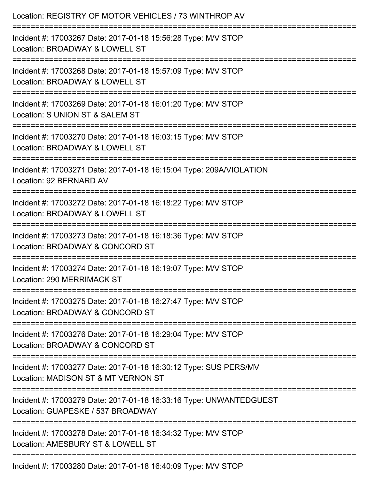| Location: REGISTRY OF MOTOR VEHICLES / 73 WINTHROP AV                                                   |
|---------------------------------------------------------------------------------------------------------|
| Incident #: 17003267 Date: 2017-01-18 15:56:28 Type: M/V STOP<br>Location: BROADWAY & LOWELL ST         |
| Incident #: 17003268 Date: 2017-01-18 15:57:09 Type: M/V STOP<br>Location: BROADWAY & LOWELL ST         |
| Incident #: 17003269 Date: 2017-01-18 16:01:20 Type: M/V STOP<br>Location: S UNION ST & SALEM ST        |
| Incident #: 17003270 Date: 2017-01-18 16:03:15 Type: M/V STOP<br>Location: BROADWAY & LOWELL ST         |
| Incident #: 17003271 Date: 2017-01-18 16:15:04 Type: 209A/VIOLATION<br>Location: 92 BERNARD AV          |
| Incident #: 17003272 Date: 2017-01-18 16:18:22 Type: M/V STOP<br>Location: BROADWAY & LOWELL ST         |
| Incident #: 17003273 Date: 2017-01-18 16:18:36 Type: M/V STOP<br>Location: BROADWAY & CONCORD ST        |
| Incident #: 17003274 Date: 2017-01-18 16:19:07 Type: M/V STOP<br>Location: 290 MERRIMACK ST             |
| Incident #: 17003275 Date: 2017-01-18 16:27:47 Type: M/V STOP<br>Location: BROADWAY & CONCORD ST        |
| Incident #: 17003276 Date: 2017-01-18 16:29:04 Type: M/V STOP<br>Location: BROADWAY & CONCORD ST        |
| Incident #: 17003277 Date: 2017-01-18 16:30:12 Type: SUS PERS/MV<br>Location: MADISON ST & MT VERNON ST |
| Incident #: 17003279 Date: 2017-01-18 16:33:16 Type: UNWANTEDGUEST<br>Location: GUAPESKE / 537 BROADWAY |
| Incident #: 17003278 Date: 2017-01-18 16:34:32 Type: M/V STOP<br>Location: AMESBURY ST & LOWELL ST      |
| Incident #: 17003280 Date: 2017-01-18 16:40:09 Type: M/V STOP                                           |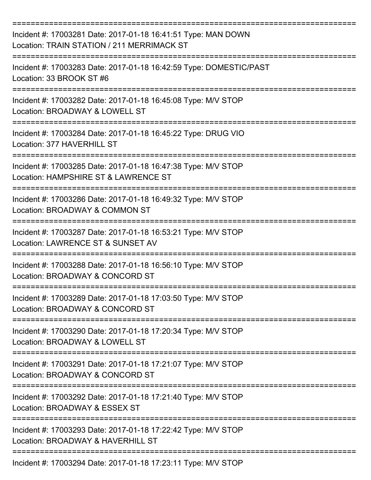| Incident #: 17003281 Date: 2017-01-18 16:41:51 Type: MAN DOWN<br>Location: TRAIN STATION / 211 MERRIMACK ST |
|-------------------------------------------------------------------------------------------------------------|
| Incident #: 17003283 Date: 2017-01-18 16:42:59 Type: DOMESTIC/PAST<br>Location: 33 BROOK ST #6              |
| Incident #: 17003282 Date: 2017-01-18 16:45:08 Type: M/V STOP<br>Location: BROADWAY & LOWELL ST             |
| Incident #: 17003284 Date: 2017-01-18 16:45:22 Type: DRUG VIO<br>Location: 377 HAVERHILL ST                 |
| Incident #: 17003285 Date: 2017-01-18 16:47:38 Type: M/V STOP<br>Location: HAMPSHIRE ST & LAWRENCE ST       |
| Incident #: 17003286 Date: 2017-01-18 16:49:32 Type: M/V STOP<br>Location: BROADWAY & COMMON ST             |
| Incident #: 17003287 Date: 2017-01-18 16:53:21 Type: M/V STOP<br>Location: LAWRENCE ST & SUNSET AV          |
| Incident #: 17003288 Date: 2017-01-18 16:56:10 Type: M/V STOP<br>Location: BROADWAY & CONCORD ST            |
| Incident #: 17003289 Date: 2017-01-18 17:03:50 Type: M/V STOP<br>Location: BROADWAY & CONCORD ST            |
| Incident #: 17003290 Date: 2017-01-18 17:20:34 Type: M/V STOP<br>Location: BROADWAY & LOWELL ST             |
| Incident #: 17003291 Date: 2017-01-18 17:21:07 Type: M/V STOP<br>Location: BROADWAY & CONCORD ST            |
| Incident #: 17003292 Date: 2017-01-18 17:21:40 Type: M/V STOP<br>Location: BROADWAY & ESSEX ST              |
| Incident #: 17003293 Date: 2017-01-18 17:22:42 Type: M/V STOP<br>Location: BROADWAY & HAVERHILL ST          |
| Incident #: 17003294 Date: 2017-01-18 17:23:11 Type: M/V STOP                                               |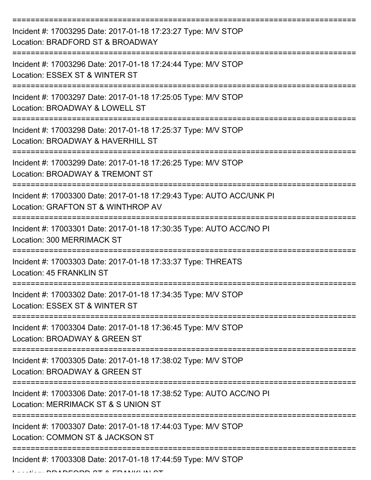| Incident #: 17003295 Date: 2017-01-18 17:23:27 Type: M/V STOP<br>Location: BRADFORD ST & BROADWAY          |
|------------------------------------------------------------------------------------------------------------|
| Incident #: 17003296 Date: 2017-01-18 17:24:44 Type: M/V STOP<br>Location: ESSEX ST & WINTER ST            |
| Incident #: 17003297 Date: 2017-01-18 17:25:05 Type: M/V STOP<br>Location: BROADWAY & LOWELL ST            |
| Incident #: 17003298 Date: 2017-01-18 17:25:37 Type: M/V STOP<br>Location: BROADWAY & HAVERHILL ST         |
| Incident #: 17003299 Date: 2017-01-18 17:26:25 Type: M/V STOP<br>Location: BROADWAY & TREMONT ST           |
| Incident #: 17003300 Date: 2017-01-18 17:29:43 Type: AUTO ACC/UNK PI<br>Location: GRAFTON ST & WINTHROP AV |
| Incident #: 17003301 Date: 2017-01-18 17:30:35 Type: AUTO ACC/NO PI<br>Location: 300 MERRIMACK ST          |
| =========<br>Incident #: 17003303 Date: 2017-01-18 17:33:37 Type: THREATS<br>Location: 45 FRANKLIN ST      |
| Incident #: 17003302 Date: 2017-01-18 17:34:35 Type: M/V STOP<br>Location: ESSEX ST & WINTER ST            |
| Incident #: 17003304 Date: 2017-01-18 17:36:45 Type: M/V STOP<br>Location: BROADWAY & GREEN ST             |
| Incident #: 17003305 Date: 2017-01-18 17:38:02 Type: M/V STOP<br>Location: BROADWAY & GREEN ST             |
| Incident #: 17003306 Date: 2017-01-18 17:38:52 Type: AUTO ACC/NO PI<br>Location: MERRIMACK ST & S UNION ST |
| Incident #: 17003307 Date: 2017-01-18 17:44:03 Type: M/V STOP<br>Location: COMMON ST & JACKSON ST          |
| Incident #: 17003308 Date: 2017-01-18 17:44:59 Type: M/V STOP                                              |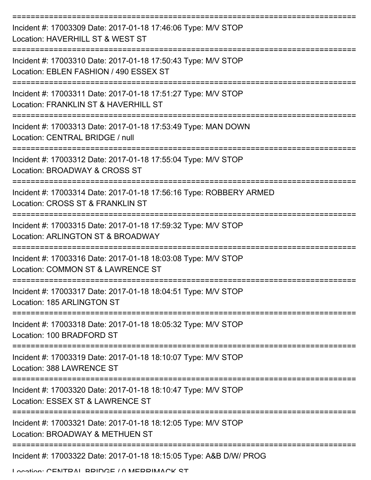| Incident #: 17003309 Date: 2017-01-18 17:46:06 Type: M/V STOP<br>Location: HAVERHILL ST & WEST ST       |
|---------------------------------------------------------------------------------------------------------|
| Incident #: 17003310 Date: 2017-01-18 17:50:43 Type: M/V STOP<br>Location: EBLEN FASHION / 490 ESSEX ST |
| Incident #: 17003311 Date: 2017-01-18 17:51:27 Type: M/V STOP<br>Location: FRANKLIN ST & HAVERHILL ST   |
| Incident #: 17003313 Date: 2017-01-18 17:53:49 Type: MAN DOWN<br>Location: CENTRAL BRIDGE / null        |
| Incident #: 17003312 Date: 2017-01-18 17:55:04 Type: M/V STOP<br>Location: BROADWAY & CROSS ST          |
| Incident #: 17003314 Date: 2017-01-18 17:56:16 Type: ROBBERY ARMED<br>Location: CROSS ST & FRANKLIN ST  |
| Incident #: 17003315 Date: 2017-01-18 17:59:32 Type: M/V STOP<br>Location: ARLINGTON ST & BROADWAY      |
| Incident #: 17003316 Date: 2017-01-18 18:03:08 Type: M/V STOP<br>Location: COMMON ST & LAWRENCE ST      |
| Incident #: 17003317 Date: 2017-01-18 18:04:51 Type: M/V STOP<br>Location: 185 ARLINGTON ST             |
| Incident #: 17003318 Date: 2017-01-18 18:05:32 Type: M/V STOP<br>Location: 100 BRADFORD ST              |
| Incident #: 17003319 Date: 2017-01-18 18:10:07 Type: M/V STOP<br>Location: 388 LAWRENCE ST              |
| Incident #: 17003320 Date: 2017-01-18 18:10:47 Type: M/V STOP<br>Location: ESSEX ST & LAWRENCE ST       |
| Incident #: 17003321 Date: 2017-01-18 18:12:05 Type: M/V STOP<br>Location: BROADWAY & METHUEN ST        |
| ------------------<br>Incident #: 17003322 Date: 2017-01-18 18:15:05 Type: A&B D/W/ PROG                |

Location: CENTRAL BRIDGE / 0 MERRIMACK ST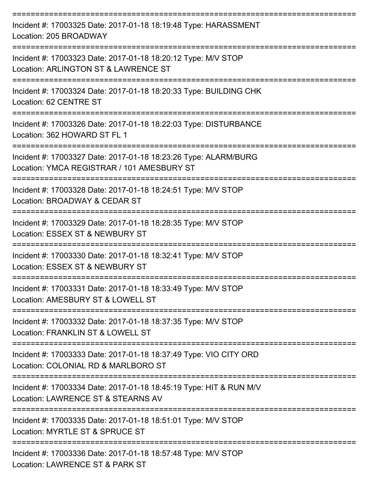| Incident #: 17003325 Date: 2017-01-18 18:19:48 Type: HARASSMENT<br>Location: 205 BROADWAY                     |
|---------------------------------------------------------------------------------------------------------------|
| Incident #: 17003323 Date: 2017-01-18 18:20:12 Type: M/V STOP<br>Location: ARLINGTON ST & LAWRENCE ST         |
| Incident #: 17003324 Date: 2017-01-18 18:20:33 Type: BUILDING CHK<br>Location: 62 CENTRE ST                   |
| Incident #: 17003326 Date: 2017-01-18 18:22:03 Type: DISTURBANCE<br>Location: 362 HOWARD ST FL 1              |
| Incident #: 17003327 Date: 2017-01-18 18:23:26 Type: ALARM/BURG<br>Location: YMCA REGISTRAR / 101 AMESBURY ST |
| Incident #: 17003328 Date: 2017-01-18 18:24:51 Type: M/V STOP<br>Location: BROADWAY & CEDAR ST                |
| Incident #: 17003329 Date: 2017-01-18 18:28:35 Type: M/V STOP<br>Location: ESSEX ST & NEWBURY ST              |
| Incident #: 17003330 Date: 2017-01-18 18:32:41 Type: M/V STOP<br>Location: ESSEX ST & NEWBURY ST              |
| Incident #: 17003331 Date: 2017-01-18 18:33:49 Type: M/V STOP<br>Location: AMESBURY ST & LOWELL ST            |
| Incident #: 17003332 Date: 2017-01-18 18:37:35 Type: M/V STOP<br>Location: FRANKLIN ST & LOWELL ST            |
| Incident #: 17003333 Date: 2017-01-18 18:37:49 Type: VIO CITY ORD<br>Location: COLONIAL RD & MARLBORO ST      |
| Incident #: 17003334 Date: 2017-01-18 18:45:19 Type: HIT & RUN M/V<br>Location: LAWRENCE ST & STEARNS AV      |
| Incident #: 17003335 Date: 2017-01-18 18:51:01 Type: M/V STOP<br>Location: MYRTLE ST & SPRUCE ST              |
| Incident #: 17003336 Date: 2017-01-18 18:57:48 Type: M/V STOP                                                 |

Location: LAWRENCE ST & PARK ST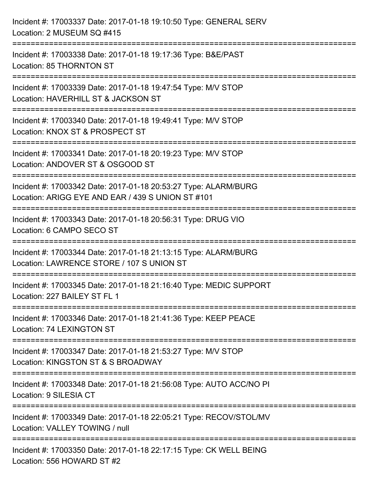| Incident #: 17003337 Date: 2017-01-18 19:10:50 Type: GENERAL SERV<br>Location: 2 MUSEUM SQ #415                                                 |
|-------------------------------------------------------------------------------------------------------------------------------------------------|
| ==============================<br>Incident #: 17003338 Date: 2017-01-18 19:17:36 Type: B&E/PAST<br>Location: 85 THORNTON ST                     |
| Incident #: 17003339 Date: 2017-01-18 19:47:54 Type: M/V STOP<br>Location: HAVERHILL ST & JACKSON ST<br>:=======================                |
| Incident #: 17003340 Date: 2017-01-18 19:49:41 Type: M/V STOP<br>Location: KNOX ST & PROSPECT ST                                                |
| Incident #: 17003341 Date: 2017-01-18 20:19:23 Type: M/V STOP<br>Location: ANDOVER ST & OSGOOD ST<br>===================<br>=================== |
| Incident #: 17003342 Date: 2017-01-18 20:53:27 Type: ALARM/BURG<br>Location: ARIGG EYE AND EAR / 439 S UNION ST #101<br>=================       |
| Incident #: 17003343 Date: 2017-01-18 20:56:31 Type: DRUG VIO<br>Location: 6 CAMPO SECO ST                                                      |
| Incident #: 17003344 Date: 2017-01-18 21:13:15 Type: ALARM/BURG<br>Location: LAWRENCE STORE / 107 S UNION ST                                    |
| Incident #: 17003345 Date: 2017-01-18 21:16:40 Type: MEDIC SUPPORT<br>Location: 227 BAILEY ST FL 1                                              |
| Incident #: 17003346 Date: 2017-01-18 21:41:36 Type: KEEP PEACE<br>Location: 74 LEXINGTON ST                                                    |
| Incident #: 17003347 Date: 2017-01-18 21:53:27 Type: M/V STOP<br>Location: KINGSTON ST & S BROADWAY                                             |
| Incident #: 17003348 Date: 2017-01-18 21:56:08 Type: AUTO ACC/NO PI<br>Location: 9 SILESIA CT                                                   |
| Incident #: 17003349 Date: 2017-01-18 22:05:21 Type: RECOV/STOL/MV<br>Location: VALLEY TOWING / null                                            |
| Incident #: 17003350 Date: 2017-01-18 22:17:15 Type: CK WELL BEING<br>Location: 556 HOWARD ST #2                                                |